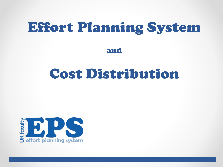# Effort Planning System

and

# Cost Distribution

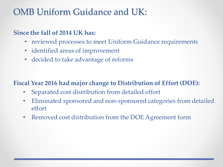### OMB Uniform Guidance and UK:

#### **Since the fall of 2014 UK has:**

- reviewed processes to meet Uniform Guidance requirements
- identified areas of improvement
- decided to take advantage of reforms

#### **Fiscal Year 2016 had major change to Distribution of Effort (DOE):**

- Separated cost distribution from detailed effort
- Eliminated sponsored and non-sponsored categories from detailed effort
- Removed cost distribution from the DOE Agreement form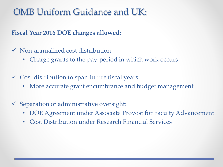### OMB Uniform Guidance and UK:

**Fiscal Year 2016 DOE changes allowed:**

- $\checkmark$  Non-annualized cost distribution
	- Charge grants to the pay-period in which work occurs
- $\checkmark$  Cost distribution to span future fiscal years
	- More accurate grant encumbrance and budget management
- $\checkmark$  Separation of administrative oversight:
	- DOE Agreement under Associate Provost for Faculty Advancement
	- Cost Distribution under Research Financial Services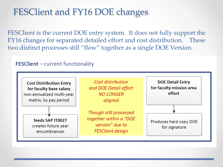### FESClient and FY16 DOE changes

FESClient is the current DOE entry system. It does not fully support the FY16 changes for separated detailed effort and cost distribution. These two distinct processes still "flow" together as a single DOE Version.

#### **FESClient** – current functionality

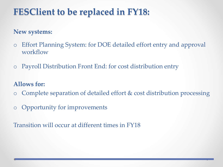## **FESClient to be replaced in FY18:**

#### **New systems:**

- o Effort Planning System: for DOE detailed effort entry and approval workflow
- o Payroll Distribution Front End: for cost distribution entry

#### **Allows for:**

- o Complete separation of detailed effort & cost distribution processing
- o Opportunity for improvements

Transition will occur at different times in FY18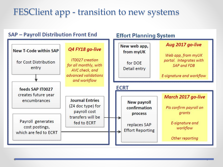### FESClient app - transition to new systems

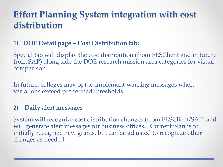### **Effort Planning System integration with cost distribution**

#### **1) DOE Detail page – Cost Distribution tab:**

Special tab will display the cost distribution (from FESClient and in future from SAP) along side the DOE research mission area categories for visual comparison.

In future, colleges may opt to implement warning messages when variations exceed predefined thresholds.

#### **2) Daily alert messages**

System will recognize cost distribution changes (from FESClient/SAP) and will generate alert messages for business offices. Current plan is to initially recognize new grants, but can be adjusted to recognize other changes as needed.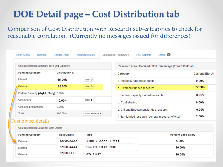## **DOE Detail page – Cost Distribution tab**

Comparison of Cost Distribution with Research sub-categories to check for reasonable correlation. (Currently no messages issued for differences)

| <b>Effort Areas</b><br>Courses              | <b>Header Detail</b>                           | <b>Workflow History</b>                                        | Cost Distrib. (from SAP)      | Fac. Apptmts                                      | Errors <b>O</b> |                         |
|---------------------------------------------|------------------------------------------------|----------------------------------------------------------------|-------------------------------|---------------------------------------------------|-----------------|-------------------------|
| Cost Distribution Summary per Fund Category |                                                | Research Area - Detailed Effort Percentage (from "Effort" tab) |                               |                                                   |                 |                         |
| <b>Funding Category</b>                     | <b>Distribution %</b>                          |                                                                | Category                      |                                                   |                 | <b>Current Effort %</b> |
| Internal                                    | $delta$ detail $\blacktriangleright$<br>65.00% |                                                                |                               | a. Internally funded research                     |                 |                         |
| External                                    | 25.00%                                         | $delta$ detail $\blacktriangleright$                           | b. Externally funded research |                                                   | 22.00%          |                         |
| Federal Capacity (AgFE Only) 0.00%          |                                                |                                                                |                               | c. Federal capacity funded research               |                 |                         |
| Cost Share                                  | 10.00%                                         | detail >                                                       |                               | d. Cost sharing                                   |                 | 9.00%                   |
| <b>Gifts and Endowments</b>                 | 0.00%                                          |                                                                |                               | e. Gift and Endowment funded research             |                 | 0.00%                   |
| Total                                       | 100.00%                                        | show all detail >                                              |                               | f. Non-funded research (general research efforts) |                 | 2.00%                   |
| Cost object details                         |                                                |                                                                |                               |                                                   |                 |                         |
| Cost Distribution Detail per Cost Object    |                                                |                                                                |                               |                                                   |                 |                         |
| <b>Funding Category</b>                     | <b>Cost Object</b>                             | Title                                                          |                               | <b>Percent Base Salary</b>                        |                 |                         |
| External                                    | 320000XXXX                                     | Study of XXXX in YYYY                                          |                               |                                                   | 5.00%           |                         |

10.00%

10.00%

**ABC** project on Imno

Xyz Study

320000AAAA

320000EEEE

External

External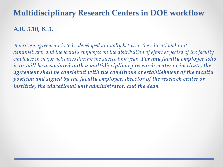### **Multidisciplinary Research Centers in DOE workflow**

#### **A.R. 3.10, B. 3.**

*A written agreement is to be developed annually between the educational unit administrator and the faculty employee on the distribution of effort expected of the faculty employee in major activities during the succeeding year. For any faculty employee who is or will be associated with a multidisciplinary research center or institute, the agreement shall be consistent with the conditions of establishment of the faculty position and signed by the faculty employee, director of the research center or institute, the educational unit administrator, and the dean.*